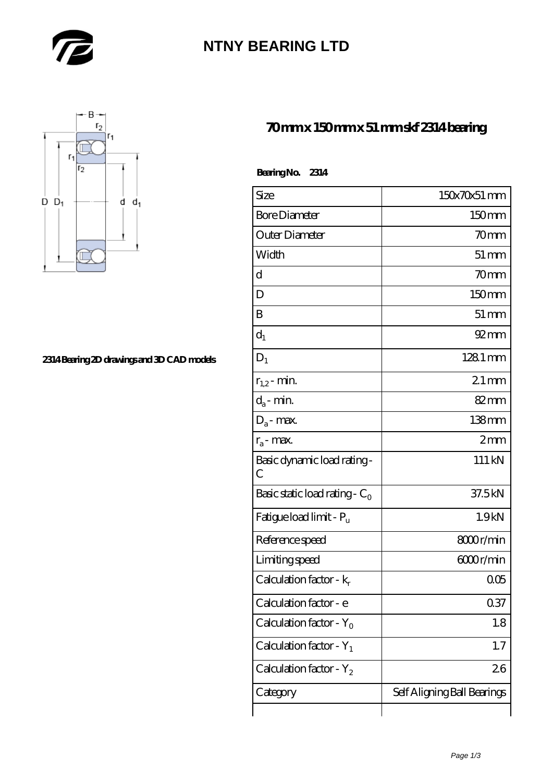

# **[NTNY BEARING LTD](https://m.abetteryeartoabetterlife.com)**



#### **[2314 Bearing 2D drawings and 3D CAD models](https://m.abetteryeartoabetterlife.com/pic-414405.html)**

### **[70 mm x 150 mm x 51 mm skf 2314 bearing](https://m.abetteryeartoabetterlife.com/skf-bearing/skf-2314/)**

| Size           | $150x70x51$ mm |
|----------------|----------------|
| Bore Diameter  | $150$ mm       |
| Outer Diameter | 70mm           |
|                |                |

 **Bearing No. 2314**

| Bore Diameter                       | 150mm                       |
|-------------------------------------|-----------------------------|
| Outer Diameter                      | 70mm                        |
| Width                               | $51 \,\mathrm{mm}$          |
| d                                   | 70mm                        |
| D                                   | 150mm                       |
| B                                   | $51 \,\mathrm{mm}$          |
| $d_1$                               | $92 \, \text{mm}$           |
| $D_1$                               | $1281$ mm                   |
| $r_{1,2}$ - min.                    | $21 \,\mathrm{mm}$          |
| $d_a$ - min.                        | $82 \text{mm}$              |
| $D_a$ - max.                        | $138$ mm                    |
| $r_a$ - max.                        | 2mm                         |
| Basic dynamic load rating-<br>С     | 111 kN                      |
| Basic static load rating - $C_0$    | 37.5kN                      |
| Fatigue load limit - P <sub>u</sub> | 1.9kN                       |
| Reference speed                     | 8000r/min                   |
| Limiting speed                      | 6000r/min                   |
| Calculation factor - k <sub>r</sub> | 005                         |
| Calculation factor - e              | 0.37                        |
| Calculation factor - Y <sub>o</sub> | 1.8                         |
| Calculation factor - $Y_1$          | 1.7                         |
| Calculation factor - $Y_2$          | 26                          |
| Category                            | Self Aligning Ball Bearings |
|                                     |                             |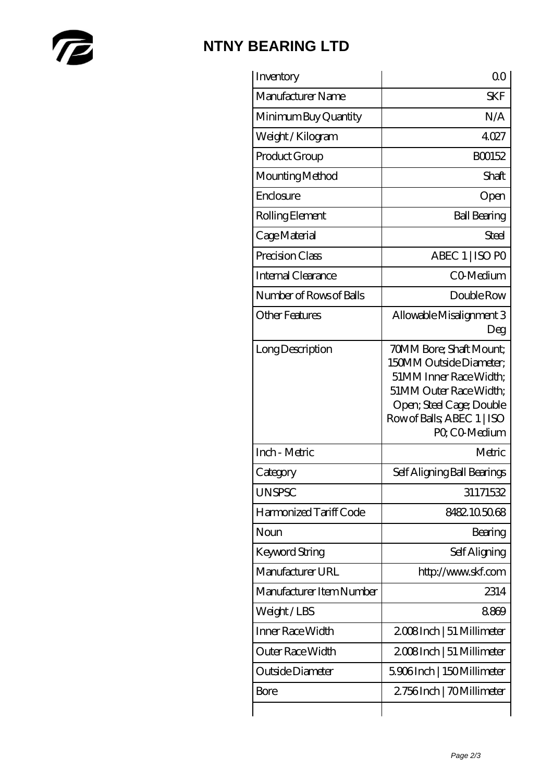

# **[NTNY BEARING LTD](https://m.abetteryeartoabetterlife.com)**

| Inventory                | 0 <sub>0</sub>                                                                                                                                                                   |
|--------------------------|----------------------------------------------------------------------------------------------------------------------------------------------------------------------------------|
| Manufacturer Name        | <b>SKF</b>                                                                                                                                                                       |
| Minimum Buy Quantity     | N/A                                                                                                                                                                              |
| Weight/Kilogram          | 4027                                                                                                                                                                             |
| Product Group            | BO0152                                                                                                                                                                           |
| Mounting Method          | Shaft                                                                                                                                                                            |
| Enclosure                | Open                                                                                                                                                                             |
| Rolling Element          | <b>Ball Bearing</b>                                                                                                                                                              |
| Cage Material            | Steel                                                                                                                                                                            |
| Precision Class          | ABEC 1   ISO PO                                                                                                                                                                  |
| Internal Clearance       | CO-Medium                                                                                                                                                                        |
| Number of Rows of Balls  | Double Row                                                                                                                                                                       |
| <b>Other Features</b>    | Allowable Misalignment 3<br>Deg                                                                                                                                                  |
| Long Description         | 70MM Bore; Shaft Mount;<br>150MM Outside Diameter:<br>51MM Inner Race Width;<br>51MM Outer Race Width;<br>Open; Steel Cage; Double<br>Row of Balls, ABEC 1   ISO<br>PQ CO-Medium |
| Inch - Metric            | Metric                                                                                                                                                                           |
| Category                 | Self Aligning Ball Bearings                                                                                                                                                      |
| <b>UNSPSC</b>            | 31171532                                                                                                                                                                         |
| Harmonized Tariff Code   | 8482105068                                                                                                                                                                       |
| Noun                     | Bearing                                                                                                                                                                          |
| <b>Keyword String</b>    | Self Aligning                                                                                                                                                                    |
| Manufacturer URL         | http://www.skf.com                                                                                                                                                               |
| Manufacturer Item Number | 2314                                                                                                                                                                             |
| Weight/LBS               | 8869                                                                                                                                                                             |
| Inner Race Width         | 2008Inch   51 Millimeter                                                                                                                                                         |
| Outer Race Width         | 2008Inch   51 Millimeter                                                                                                                                                         |
| Outside Diameter         | 5906Inch   150Millimeter                                                                                                                                                         |
| Bore                     | 2756Inch   70Millimeter                                                                                                                                                          |
|                          |                                                                                                                                                                                  |